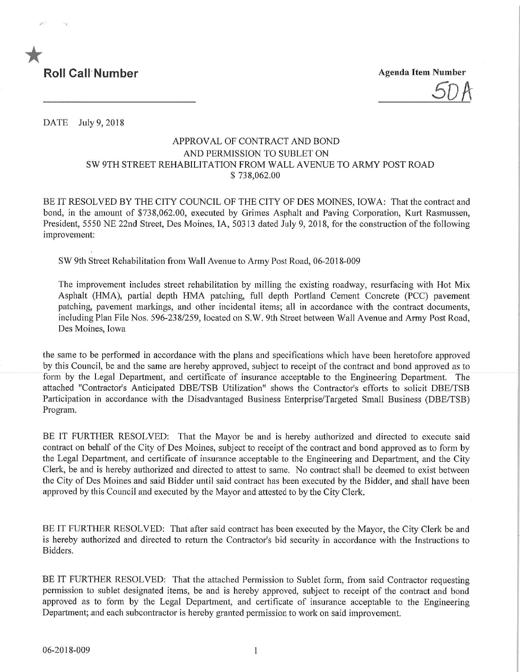

5DA

DATE July 9, 2018

## APPROVAL OF CONTRACT AND BOND AND PERMISSION TO SUBLET ON SW 9TH STREET REHABILITATION FROM WALL AVENUE TO ARMY POST ROAD \$ 738,062.00

BE IT RESOLVED BY THE CITY COUNCIL OF THE CITY OF DES MOINES, IOWA: That the contract and bond, in the amount of \$738,062.00, executed by Grimes Asphalt and Paving Corporation, Kurt Rasmussen, President, 5550 NE 22nd Street, Des Moines, IA, 50313 dated July 9, 2018, for the construction of the following improvement:

SW 9th Street Rehabilitation from Wall Avenue to Army Post Road, 06-2018-009

The improvement includes street rehabilitation by milling the existing roadway, resurfacing with Hot Mix Asphalt (HMA), partial depth HMA patching, full depth Portland Cement Concrete (PCC) pavement patching, pavement markings, and other incidental items; all in accordance with the contract documents, including Plan File Nos. 596-238/259, located on S.W. 9th Street between Wall Avenue and Army Post Road, Des Moines, Iowa

the same to be performed in accordance with the plans and specifications which have been heretofore approved by this Council, be and the same are hereby approved, subject to receipt of the contract and bond approved as to form by the Legal Department, and certificate of insurance acceptable to the Engineering Department. The attached "Contractor's Anticipated DBE/TSB Utilization" shows the Contractor's efforts to solicit DBE/TSB Participation in accordance with the Disadvantaged Business Enterprise/Targeted Small Business (DBE/TSB) Program.

BE IT FURTHER RESOLVED: That the Mayor be and is hereby authorized and directed to execute said contract on behalf of the City of Des Moines, subject to receipt of the contract and bond approved as to form by the Legal Department, and certificate of insurance acceptable to the Engineering and Department, and the City Clerk, be and is hereby authorized and directed to attest to same. No contract shall be deemed to exist between the City of Des Moines and said Bidder until said contract has been executed by the Bidder, and shall have been approved by this Council and executed by the Mayor and attested to by the City Clerk.

BE IT FURTHER RESOLVED: That after said contract has been executed by the Mayor, the City Clerk be and is hereby authorized and directed to return the Contractor's bid security in accordance with the Instructions to Bidders.

BE IT FURTHER RESOLVED: That the attached Permission to Sublet form, from said Contractor requesting permission to sublet designated items, be and is hereby approved, subject to receipt of the contract and bond approved as to form by the Legal Department, and certificate of insurance acceptable to the Engineering Department; and each subcontractor is hereby granted permission to work on said improvement.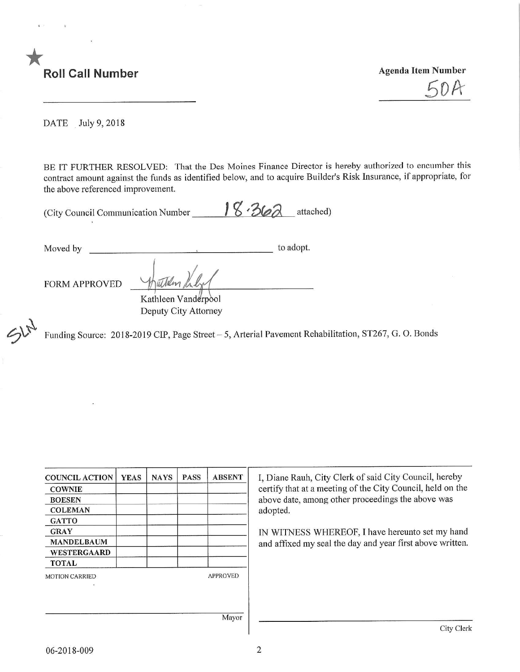

 $5DA$ 

DATE July 9, 2018

BE IT FURTHER RESOLVED: That the Des Moines Finance Director is hereby authorized to encumber this contract amount against the funds as identified below, and to acquire Builder's Risk Insurance, if appropriate, for the above referenced improvement.

| (City Council Communication Number | $18.362$ attached) |  |
|------------------------------------|--------------------|--|
|                                    |                    |  |

Moved by to adopt.

Willen

FORM APPROVED

 $\mathcal{V}_{\mathcal{L}^{\tau}}$ 

Kathleen Vanderpool Deputy City Attorney

Funding Source: 2018-2019 CIP, Page Street - 5, Arterial Pavement Rehabilitation, ST267, G. O. Bonds

| <b>COUNCIL ACTION</b> | <b>YEAS</b> | <b>NAYS</b> | <b>PASS</b> | <b>ABSENT</b>   | I, Diane Rauh.<br>certify that at |
|-----------------------|-------------|-------------|-------------|-----------------|-----------------------------------|
| <b>COWNIE</b>         |             |             |             |                 |                                   |
| <b>BOESEN</b>         |             |             |             |                 | above date, an                    |
| <b>COLEMAN</b>        |             |             |             |                 | adopted.                          |
| <b>GATTO</b>          |             |             |             |                 |                                   |
| <b>GRAY</b>           |             |             |             |                 | <b>IN WITNESS</b>                 |
| <b>MANDELBAUM</b>     |             |             |             |                 | and affixed m                     |
| WESTERGAARD           |             |             |             |                 |                                   |
| <b>TOTAL</b>          |             |             |             |                 |                                   |
| <b>MOTION CARRIED</b> |             |             |             | <b>APPROVED</b> |                                   |
|                       |             |             |             |                 |                                   |
|                       |             |             |             |                 |                                   |
|                       |             |             |             |                 |                                   |
|                       |             |             |             | Mayor           |                                   |

City Clerk of said City Council, hereby a meeting of the City Council, held on the nong other proceedings the above was

WHEREOF, I have hereunto set my hand y seal the day and year first above written.